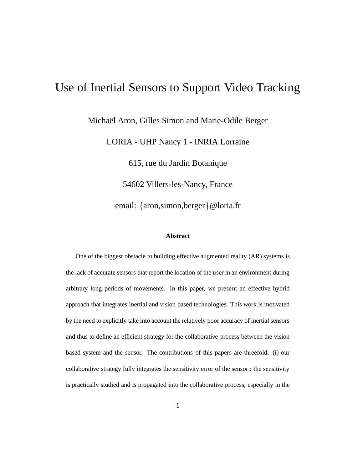# Use of Inertial Sensors to Support Video Tracking

Michaël Aron, Gilles Simon and Marie-Odile Berger

LORIA - UHP Nancy 1 - INRIA Lorraine

615, rue du Jardin Botanique 54602 Villers-les-Nancy, France email: {aron,simon,berger}@loria.fr

#### **Abstract**

One of the biggest obstacle to building effective augmented reality (AR) systems is the lack of accurate sensors that report the location of the user in an environment during arbitrary long periods of movements. In this paper, we present an effective hybrid approach that integrates inertial and vision based technologies. This work is motivated by the need to explicitly take into account the relatively poor accuracy of inertial sensors and thus to define an efficient strategy for the collaborative process between the vision based system and the sensor. The contributions of this papers are threefold: (i) our collaborative strategy fully integrates the sensitivity error of the sensor : the sensitivity is practically studied and is propagated into the collaborative process, especially in the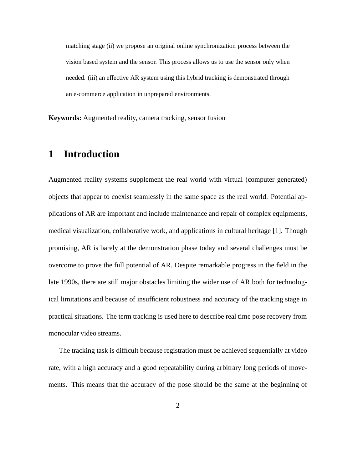matching stage (ii) we propose an original online synchronization process between the vision based system and the sensor. This process allows us to use the sensor only when needed. (iii) an effective AR system using this hybrid tracking is demonstrated through an e-commerce application in unprepared environments.

**Keywords:** Augmented reality, camera tracking, sensor fusion

## **1 Introduction**

Augmented reality systems supplement the real world with virtual (computer generated) objects that appear to coexist seamlessly in the same space as the real world. Potential applications of AR are important and include maintenance and repair of complex equipments, medical visualization, collaborative work, and applications in cultural heritage [1]. Though promising, AR is barely at the demonstration phase today and several challenges must be overcome to prove the full potential of AR. Despite remarkable progress in the field in the late 1990s, there are still major obstacles limiting the wider use of AR both for technological limitations and because of insufficient robustness and accuracy of the tracking stage in practical situations. The term tracking is used here to describe real time pose recovery from monocular video streams.

The tracking task is difficult because registration must be achieved sequentially at video rate, with a high accuracy and a good repeatability during arbitrary long periods of movements. This means that the accuracy of the pose should be the same at the beginning of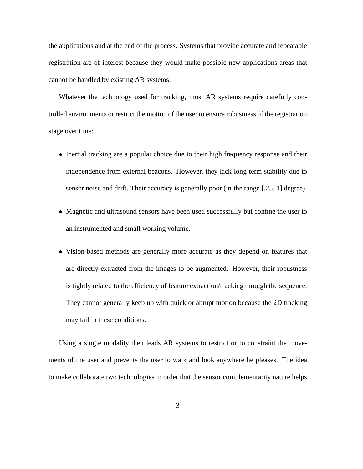the applications and at the end of the process. Systems that provide accurate and repeatable registration are of interest because they would make possible new applications areas that cannot be handled by existing AR systems.

Whatever the technology used for tracking, most AR systems require carefully controlled environments or restrict the motion of the user to ensure robustness of the registration stage over time:

- Inertial tracking are a popular choice due to their high frequency response and their independence from external beacons. However, they lack long term stability due to sensor noise and drift. Their accuracy is generally poor (in the range [.25, 1] degree)
- Magnetic and ultrasound sensors have been used successfully but confine the user to an instrumented and small working volume.
- Vision-based methods are generally more accurate as they depend on features that are directly extracted from the images to be augmented. However, their robustness is tightly related to the efficiency of feature extraction/tracking through the sequence. They cannot generally keep up with quick or abrupt motion because the 2D tracking may fail in these conditions.

Using a single modality then leads AR systems to restrict or to constraint the movements of the user and prevents the user to walk and look anywhere he pleases. The idea to make collaborate two technologies in order that the sensor complementarity nature helps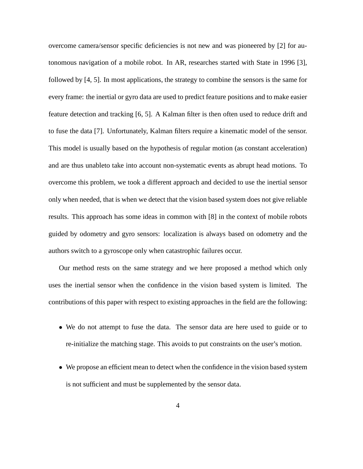overcome camera/sensor specific deficiencies is not new and was pioneered by [2] for autonomous navigation of a mobile robot. In AR, researches started with State in 1996 [3], followed by [4, 5]. In most applications, the strategy to combine the sensors is the same for every frame: the inertial or gyro data are used to predict feature positions and to make easier feature detection and tracking [6, 5]. A Kalman filter is then often used to reduce drift and to fuse the data [7]. Unfortunately, Kalman filters require a kinematic model of the sensor. This model is usually based on the hypothesis of regular motion (as constant acceleration) and are thus unableto take into account non-systematic events as abrupt head motions. To overcome this problem, we took a different approach and decided to use the inertial sensor only when needed, that is when we detect that the vision based system does not give reliable results. This approach has some ideas in common with [8] in the context of mobile robots guided by odometry and gyro sensors: localization is always based on odometry and the authors switch to a gyroscope only when catastrophic failures occur.

Our method rests on the same strategy and we here proposed a method which only uses the inertial sensor when the confidence in the vision based system is limited. The contributions of this paper with respect to existing approaches in the field are the following:

- We do not attempt to fuse the data. The sensor data are here used to guide or to re-initialize the matching stage. This avoids to put constraints on the user's motion.
- We propose an efficient mean to detect when the confidence in the vision based system is not sufficient and must be supplemented by the sensor data.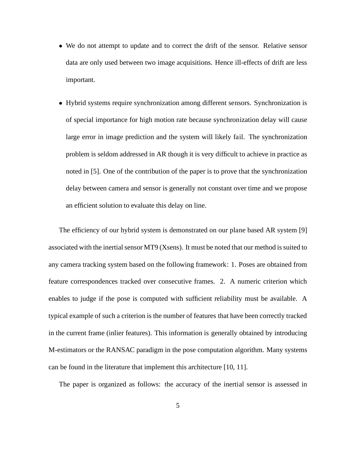- We do not attempt to update and to correct the drift of the sensor. Relative sensor data are only used between two image acquisitions. Hence ill-effects of drift are less important.
- Hybrid systems require synchronization among different sensors. Synchronization is of special importance for high motion rate because synchronization delay will cause large error in image prediction and the system will likely fail. The synchronization problem is seldom addressed in AR though it is very difficult to achieve in practice as noted in [5]. One of the contribution of the paper is to prove that the synchronization delay between camera and sensor is generally not constant over time and we propose an efficient solution to evaluate this delay on line.

The efficiency of our hybrid system is demonstrated on our plane based AR system [9] associated with the inertial sensor MT9 (Xsens). It must be noted that our method is suited to any camera tracking system based on the following framework: 1. Poses are obtained from feature correspondences tracked over consecutive frames. 2. A numeric criterion which enables to judge if the pose is computed with sufficient reliability must be available. A typical example of such a criterion is the number of features that have been correctly tracked in the current frame (inlier features). This information is generally obtained by introducing M-estimators or the RANSAC paradigm in the pose computation algorithm. Many systems can be found in the literature that implement this architecture [10, 11].

The paper is organized as follows: the accuracy of the inertial sensor is assessed in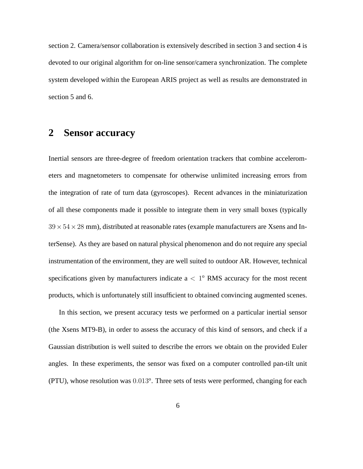section 2. Camera/sensor collaboration is extensively described in section 3 and section 4 is devoted to our original algorithm for on-line sensor/camera synchronization. The complete system developed within the European ARIS project as well as results are demonstrated in section 5 and 6.

### **2 Sensor accuracy**

Inertial sensors are three-degree of freedom orientation trackers that combine accelerometers and magnetometers to compensate for otherwise unlimited increasing errors from the integration of rate of turn data (gyroscopes). Recent advances in the miniaturization of all these components made it possible to integrate them in very small boxes (typically  $39 \times 54 \times 28$  mm), distributed at reasonable rates (example manufacturers are Xsens and InterSense). As they are based on natural physical phenomenon and do not require any special instrumentation of the environment, they are well suited to outdoor AR. However, technical specifications given by manufacturers indicate  $a < 1^{\circ}$  RMS accuracy for the most recent products, which is unfortunately still insufficient to obtained convincing augmented scenes.

In this section, we present accuracy tests we performed on a particular inertial sensor (the Xsens MT9-B), in order to assess the accuracy of this kind of sensors, and check if a Gaussian distribution is well suited to describe the errors we obtain on the provided Euler angles. In these experiments, the sensor was fixed on a computer controlled pan-tilt unit (PTU), whose resolution was 0.013°. Three sets of tests were performed, changing for each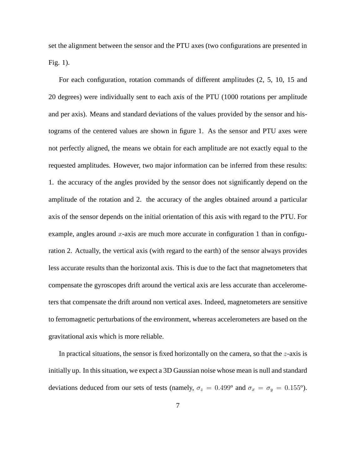set the alignment between the sensor and the PTU axes (two configurations are presented in Fig. 1).

For each configuration, rotation commands of different amplitudes (2, 5, 10, 15 and 20 degrees) were individually sent to each axis of the PTU (1000 rotations per amplitude and per axis). Means and standard deviations of the values provided by the sensor and histograms of the centered values are shown in figure 1. As the sensor and PTU axes were not perfectly aligned, the means we obtain for each amplitude are not exactly equal to the requested amplitudes. However, two major information can be inferred from these results: 1. the accuracy of the angles provided by the sensor does not significantly depend on the amplitude of the rotation and 2. the accuracy of the angles obtained around a particular axis of the sensor depends on the initial orientation of this axis with regard to the PTU. For example, angles around x-axis are much more accurate in configuration 1 than in configuration 2. Actually, the vertical axis (with regard to the earth) of the sensor always provides less accurate results than the horizontal axis. This is due to the fact that magnetometers that compensate the gyroscopes drift around the vertical axis are less accurate than accelerometers that compensate the drift around non vertical axes. Indeed, magnetometers are sensitive to ferromagnetic perturbations of the environment, whereas accelerometers are based on the gravitational axis which is more reliable.

In practical situations, the sensor is fixed horizontally on the camera, so that the  $z$ -axis is initially up. In this situation, we expect a 3D Gaussian noise whose mean is null and standard deviations deduced from our sets of tests (namely,  $\sigma_z = 0.499^\circ$  and  $\sigma_x = \sigma_y = 0.155^\circ$ ).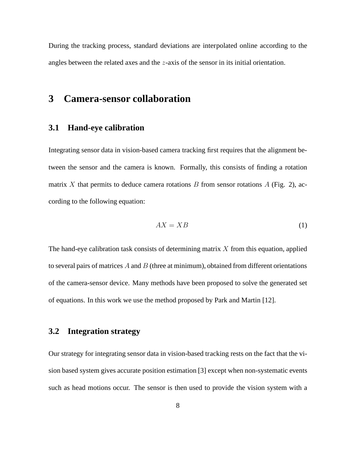During the tracking process, standard deviations are interpolated online according to the angles between the related axes and the z-axis of the sensor in its initial orientation.

## **3 Camera-sensor collaboration**

#### **3.1 Hand-eye calibration**

Integrating sensor data in vision-based camera tracking first requires that the alignment between the sensor and the camera is known. Formally, this consists of finding a rotation matrix X that permits to deduce camera rotations B from sensor rotations A (Fig. 2), according to the following equation:

$$
AX = XB \tag{1}
$$

The hand-eye calibration task consists of determining matrix  $X$  from this equation, applied to several pairs of matrices  $A$  and  $B$  (three at minimum), obtained from different orientations of the camera-sensor device. Many methods have been proposed to solve the generated set of equations. In this work we use the method proposed by Park and Martin [12].

### **3.2 Integration strategy**

Our strategy for integrating sensor data in vision-based tracking rests on the fact that the vision based system gives accurate position estimation [3] except when non-systematic events such as head motions occur. The sensor is then used to provide the vision system with a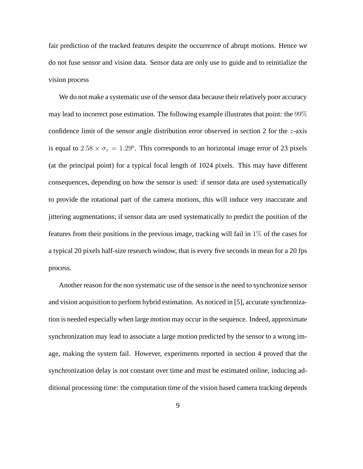fair prediction of the tracked features despite the occurrence of abrupt motions. Hence we do not fuse sensor and vision data. Sensor data are only use to guide and to reinitialize the vision process

We do not make a systematic use of the sensor data because their relatively poor accuracy may lead to incorrect pose estimation. The following example illustrates that point: the 99% confidence limit of the sensor angle distribution error observed in section 2 for the  $z$ -axis is equal to  $2.58 \times \sigma_z = 1.29^{\circ}$ . This corresponds to an horizontal image error of 23 pixels (at the principal point) for a typical focal length of 1024 pixels. This may have different consequences, depending on how the sensor is used: if sensor data are used systematically to provide the rotational part of the camera motions, this will induce very inaccurate and jittering augmentations; if sensor data are used systematically to predict the position of the features from their positions in the previous image, tracking will fail in  $1\%$  of the cases for a typical 20 pixels half-size research window, that is every five seconds in mean for a 20 fps process.

Another reason for the non systematic use of the sensor is the need to synchronize sensor and vision acquisition to perform hybrid estimation. As noticed in [5], accurate synchronization is needed especially when large motion may occur in the sequence. Indeed, approximate synchronization may lead to associate a large motion predicted by the sensor to a wrong image, making the system fail. However, experiments reported in section 4 proved that the synchronization delay is not constant over time and must be estimated online, inducing additional processing time: the computation time of the vision based camera tracking depends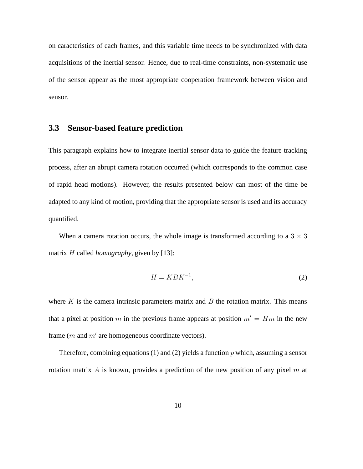on caracteristics of each frames, and this variable time needs to be synchronized with data acquisitions of the inertial sensor. Hence, due to real-time constraints, non-systematic use of the sensor appear as the most appropriate cooperation framework between vision and sensor.

### **3.3 Sensor-based feature prediction**

This paragraph explains how to integrate inertial sensor data to guide the feature tracking process, after an abrupt camera rotation occurred (which corresponds to the common case of rapid head motions). However, the results presented below can most of the time be adapted to any kind of motion, providing that the appropriate sensor is used and its accuracy quantified.

When a camera rotation occurs, the whole image is transformed according to a  $3 \times 3$ matrix H called *homography*, given by [13]:

$$
H = K B K^{-1},\tag{2}
$$

where  $K$  is the camera intrinsic parameters matrix and  $B$  the rotation matrix. This means that a pixel at position m in the previous frame appears at position  $m' = Hm$  in the new frame ( $m$  and  $m'$  are homogeneous coordinate vectors).

Therefore, combining equations (1) and (2) yields a function  $p$  which, assuming a sensor rotation matrix A is known, provides a prediction of the new position of any pixel  $m$  at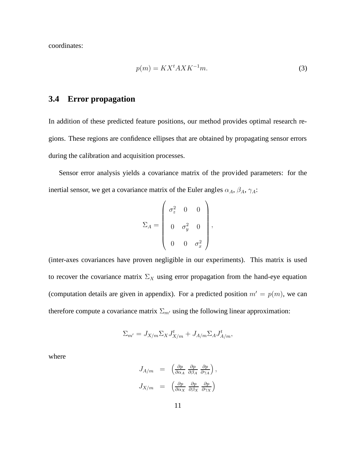coordinates:

$$
p(m) = K X^t A X K^{-1} m. \tag{3}
$$

### **3.4 Error propagation**

In addition of these predicted feature positions, our method provides optimal research regions. These regions are confidence ellipses that are obtained by propagating sensor errors during the calibration and acquisition processes.

Sensor error analysis yields a covariance matrix of the provided parameters: for the inertial sensor, we get a covariance matrix of the Euler angles  $\alpha_A$ ,  $\beta_A$ ,  $\gamma_A$ :

$$
\Sigma_A = \begin{pmatrix} \sigma_z^2 & 0 & 0 \\ 0 & \sigma_y^2 & 0 \\ 0 & 0 & \sigma_x^2 \end{pmatrix},
$$

(inter-axes covariances have proven negligible in our experiments). This matrix is used to recover the covariance matrix  $\Sigma_X$  using error propagation from the hand-eye equation (computation details are given in appendix). For a predicted position  $m' = p(m)$ , we can therefore compute a covariance matrix  $\Sigma_{m'}$  using the following linear approximation:

$$
\Sigma_{m'} = J_{X/m} \Sigma_X J_{X/m}^t + J_{A/m} \Sigma_A J_{A/m}^t,
$$

where

$$
J_{A/m} = \left(\frac{\partial p}{\partial \alpha_A} \frac{\partial p}{\partial \beta_A} \frac{\partial p}{\partial \gamma_A}\right),
$$
  

$$
J_{X/m} = \left(\frac{\partial p}{\partial \alpha_X} \frac{\partial p}{\partial \beta_X} \frac{\partial p}{\partial \gamma_X}\right)
$$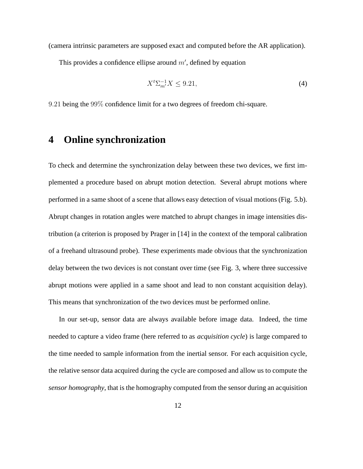(camera intrinsic parameters are supposed exact and computed before the AR application).

This provides a confidence ellipse around  $m'$ , defined by equation

$$
Xt\Sigma_{m'}^{-1}X \le 9.21,
$$
\n<sup>(4)</sup>

9.21 being the 99% confidence limit for a two degrees of freedom chi-square.

### **4 Online synchronization**

To check and determine the synchronization delay between these two devices, we first implemented a procedure based on abrupt motion detection. Several abrupt motions where performed in a same shoot of a scene that allows easy detection of visual motions (Fig. 5.b). Abrupt changes in rotation angles were matched to abrupt changes in image intensities distribution (a criterion is proposed by Prager in [14] in the context of the temporal calibration of a freehand ultrasound probe). These experiments made obvious that the synchronization delay between the two devices is not constant over time (see Fig. 3, where three successive abrupt motions were applied in a same shoot and lead to non constant acquisition delay). This means that synchronization of the two devices must be performed online.

In our set-up, sensor data are always available before image data. Indeed, the time needed to capture a video frame (here referred to as *acquisition cycle*) is large compared to the time needed to sample information from the inertial sensor. For each acquisition cycle, the relative sensor data acquired during the cycle are composed and allow us to compute the *sensor homography*, that is the homography computed from the sensor during an acquisition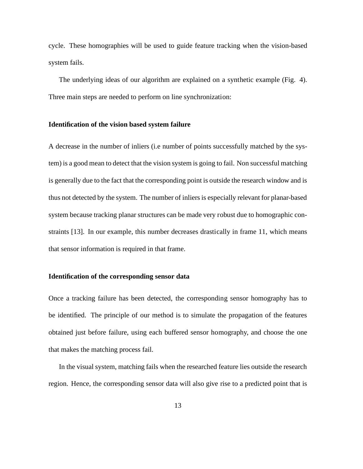cycle. These homographies will be used to guide feature tracking when the vision-based system fails.

The underlying ideas of our algorithm are explained on a synthetic example (Fig. 4). Three main steps are needed to perform on line synchronization:

#### **Identification of the vision based system failure**

A decrease in the number of inliers (i.e number of points successfully matched by the system) is a good mean to detect that the vision system is going to fail. Non successful matching is generally due to the fact that the corresponding point is outside the research window and is thus not detected by the system. The number of inliers is especially relevant for planar-based system because tracking planar structures can be made very robust due to homographic constraints [13]. In our example, this number decreases drastically in frame 11, which means that sensor information is required in that frame.

#### **Identification of the corresponding sensor data**

Once a tracking failure has been detected, the corresponding sensor homography has to be identified. The principle of our method is to simulate the propagation of the features obtained just before failure, using each buffered sensor homography, and choose the one that makes the matching process fail.

In the visual system, matching fails when the researched feature lies outside the research region. Hence, the corresponding sensor data will also give rise to a predicted point that is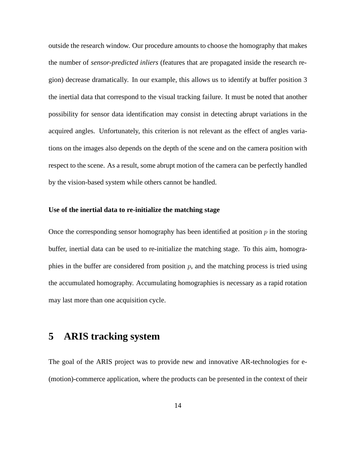outside the research window. Our procedure amounts to choose the homography that makes the number of *sensor-predicted inliers* (features that are propagated inside the research region) decrease dramatically. In our example, this allows us to identify at buffer position 3 the inertial data that correspond to the visual tracking failure. It must be noted that another possibility for sensor data identification may consist in detecting abrupt variations in the acquired angles. Unfortunately, this criterion is not relevant as the effect of angles variations on the images also depends on the depth of the scene and on the camera position with respect to the scene. As a result, some abrupt motion of the camera can be perfectly handled by the vision-based system while others cannot be handled.

#### **Use of the inertial data to re-initialize the matching stage**

Once the corresponding sensor homography has been identified at position  $p$  in the storing buffer, inertial data can be used to re-initialize the matching stage. To this aim, homographies in the buffer are considered from position  $p$ , and the matching process is tried using the accumulated homography. Accumulating homographies is necessary as a rapid rotation may last more than one acquisition cycle.

## **5 ARIS tracking system**

The goal of the ARIS project was to provide new and innovative AR-technologies for e- (motion)-commerce application, where the products can be presented in the context of their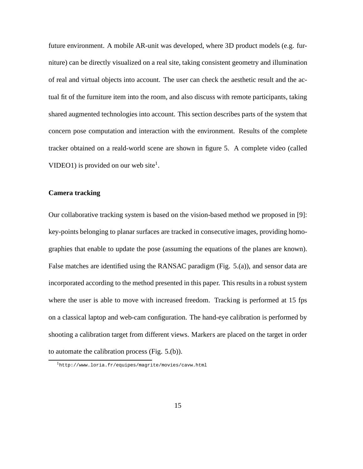future environment. A mobile AR-unit was developed, where 3D product models (e.g. furniture) can be directly visualized on a real site, taking consistent geometry and illumination of real and virtual objects into account. The user can check the aesthetic result and the actual fit of the furniture item into the room, and also discuss with remote participants, taking shared augmented technologies into account. This section describes parts of the system that concern pose computation and interaction with the environment. Results of the complete tracker obtained on a reald-world scene are shown in figure 5. A complete video (called VIDEO1) is provided on our web site<sup>1</sup>.

#### **Camera tracking**

Our collaborative tracking system is based on the vision-based method we proposed in [9]: key-points belonging to planar surfaces are tracked in consecutive images, providing homographies that enable to update the pose (assuming the equations of the planes are known). False matches are identified using the RANSAC paradigm (Fig. 5.(a)), and sensor data are incorporated according to the method presented in this paper. This results in a robust system where the user is able to move with increased freedom. Tracking is performed at 15 fps on a classical laptop and web-cam configuration. The hand-eye calibration is performed by shooting a calibration target from different views. Markers are placed on the target in order to automate the calibration process (Fig. 5.(b)).

<sup>1</sup> http://www.loria.fr/equipes/magrite/movies/cavw.html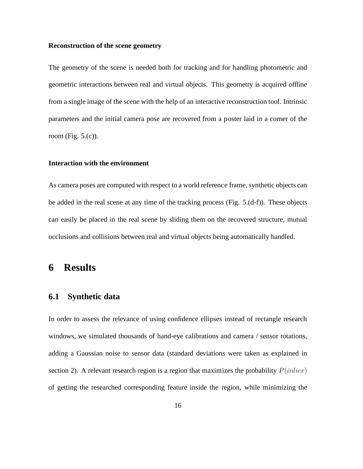#### **Reconstruction of the scene geometry**

The geometry of the scene is needed both for tracking and for handling photometric and geometric interactions between real and virtual objects. This geometry is acquired offline from a single image of the scene with the help of an interactive reconstruction tool. Intrinsic parameters and the initial camera pose are recovered from a poster laid in a corner of the room (Fig.  $5.(c)$ ).

#### **Interaction with the environment**

As camera poses are computed with respect to a world reference frame, synthetic objects can be added in the real scene at any time of the tracking process (Fig. 5.(d-f)). These objects can easily be placed in the real scene by sliding them on the recovered structure, mutual occlusions and collisions between real and virtual objects being automatically handled.

## **6 Results**

#### **6.1 Synthetic data**

In order to assess the relevance of using confidence ellipses instead of rectangle research windows, we simulated thousands of hand-eye calibrations and camera / sensor rotations, adding a Gaussian noise to sensor data (standard deviations were taken as explained in section 2). A relevant research region is a region that maximizes the probability  $P(inlier)$ of getting the researched corresponding feature inside the region, while minimizing the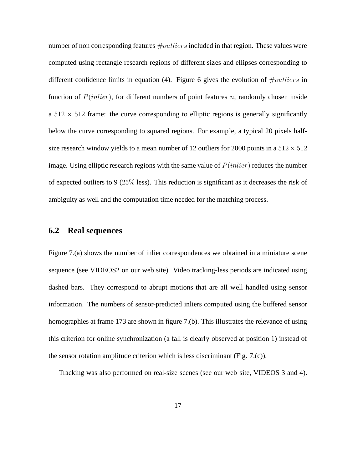number of non corresponding features  $\#outliers$  included in that region. These values were computed using rectangle research regions of different sizes and ellipses corresponding to different confidence limits in equation (4). Figure 6 gives the evolution of  $\#outliers$  in function of  $P(inlier)$ , for different numbers of point features n, randomly chosen inside a  $512 \times 512$  frame: the curve corresponding to elliptic regions is generally significantly below the curve corresponding to squared regions. For example, a typical 20 pixels halfsize research window yields to a mean number of 12 outliers for 2000 points in a  $512 \times 512$ image. Using elliptic research regions with the same value of  $P(nlier)$  reduces the number of expected outliers to 9 (25% less). This reduction is significant as it decreases the risk of ambiguity as well and the computation time needed for the matching process.

#### **6.2 Real sequences**

Figure 7.(a) shows the number of inlier correspondences we obtained in a miniature scene sequence (see VIDEOS2 on our web site). Video tracking-less periods are indicated using dashed bars. They correspond to abrupt motions that are all well handled using sensor information. The numbers of sensor-predicted inliers computed using the buffered sensor homographies at frame 173 are shown in figure 7.(b). This illustrates the relevance of using this criterion for online synchronization (a fall is clearly observed at position 1) instead of the sensor rotation amplitude criterion which is less discriminant (Fig. 7.(c)).

Tracking was also performed on real-size scenes (see our web site, VIDEOS 3 and 4).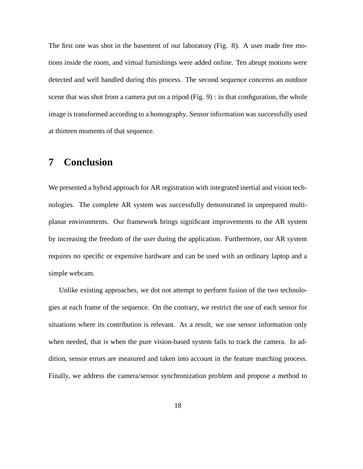The first one was shot in the basement of our laboratory (Fig. 8). A user made free motions inside the room, and virtual furnishings were added online. Ten abrupt motions were detected and well handled during this process. The second sequence concerns an outdoor scene that was shot from a camera put on a tripod (Fig. 9) : in that configuration, the whole image is transformed according to a homography. Sensor information was successfully used at thirteen moments of that sequence.

### **7 Conclusion**

We presented a hybrid approach for AR registration with integrated inertial and vision technologies. The complete AR system was successfully demonstrated in unprepared multiplanar environments. Our framework brings significant improvements to the AR system by increasing the freedom of the user during the application. Furthermore, our AR system requires no specific or expensive hardware and can be used with an ordinary laptop and a simple webcam.

Unlike existing approaches, we dot not attempt to perform fusion of the two technologies at each frame of the sequence. On the contrary, we restrict the use of each sensor for situations where its contribution is relevant. As a result, we use sensor information only when needed, that is when the pure vision-based system fails to track the camera. In addition, sensor errors are measured and taken into account in the feature matching process. Finally, we address the camera/sensor synchronization problem and propose a method to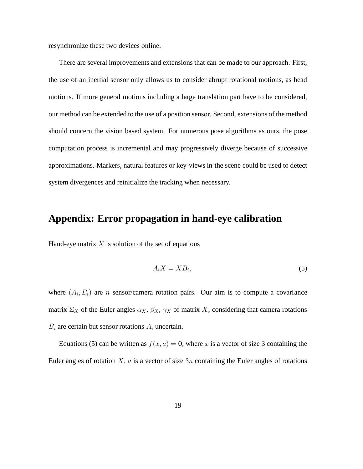resynchronize these two devices online.

There are several improvements and extensions that can be made to our approach. First, the use of an inertial sensor only allows us to consider abrupt rotational motions, as head motions. If more general motions including a large translation part have to be considered, our method can be extended to the use of a position sensor. Second, extensions of the method should concern the vision based system. For numerous pose algorithms as ours, the pose computation process is incremental and may progressively diverge because of successive approximations. Markers, natural features or key-views in the scene could be used to detect system divergences and reinitialize the tracking when necessary.

## **Appendix: Error propagation in hand-eye calibration**

Hand-eye matrix  $X$  is solution of the set of equations

$$
A_i X = X B_i,\tag{5}
$$

where  $(A_i, B_i)$  are *n* sensor/camera rotation pairs. Our aim is to compute a covariance matrix  $\Sigma_X$  of the Euler angles  $\alpha_X$ ,  $\beta_X$ ,  $\gamma_X$  of matrix X, considering that camera rotations  $B_i$  are certain but sensor rotations  $A_i$  uncertain.

Equations (5) can be written as  $f(x, a) = 0$ , where x is a vector of size 3 containing the Euler angles of rotation  $X$ ,  $a$  is a vector of size  $3n$  containing the Euler angles of rotations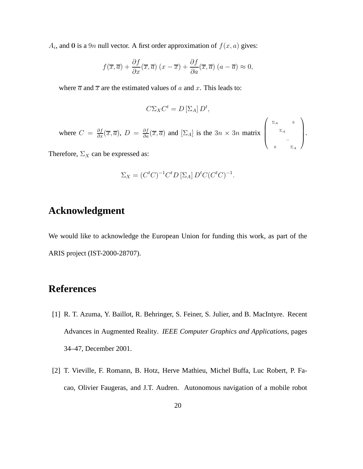$A_i$ , and 0 is a 9*n* null vector. A first order approximation of  $f(x, a)$  gives:

$$
f(\overline{x}, \overline{a}) + \frac{\partial f}{\partial x}(\overline{x}, \overline{a}) (x - \overline{x}) + \frac{\partial f}{\partial a}(\overline{x}, \overline{a}) (a - \overline{a}) \approx 0,
$$

where  $\overline{a}$  and  $\overline{x}$  are the estimated values of a and x. This leads to:

$$
C\Sigma_X C^t = D\left[\Sigma_A\right] D^t,
$$

 $\sqrt{ }$ 

 $\Sigma_A$  0  $\Sigma_A$ ... 0  $\Sigma_A$   $\setminus$ 

 $\cdot$ 

 $\overline{\phantom{a}}$ 

where  $C = \frac{\partial f}{\partial x}(\overline{x}, \overline{a}), D = \frac{\partial f}{\partial a}(\overline{x}, \overline{a})$  and  $[\Sigma_A]$  is the  $3n \times 3n$  matrix

Therefore,  $\Sigma_X$  can be expressed as:

$$
\Sigma_X = (C^t C)^{-1} C^t D \left[\Sigma_A\right] D^t C (C^t C)^{-1}.
$$

### **Acknowledgment**

We would like to acknowledge the European Union for funding this work, as part of the ARIS project (IST-2000-28707).

## **References**

- [1] R. T. Azuma, Y. Baillot, R. Behringer, S. Feiner, S. Julier, and B. MacIntyre. Recent Advances in Augmented Reality. *IEEE Computer Graphics and Applications*, pages 34–47, December 2001.
- [2] T. Vieville, F. Romann, B. Hotz, Herve Mathieu, Michel Buffa, Luc Robert, P. Facao, Olivier Faugeras, and J.T. Audren. Autonomous navigation of a mobile robot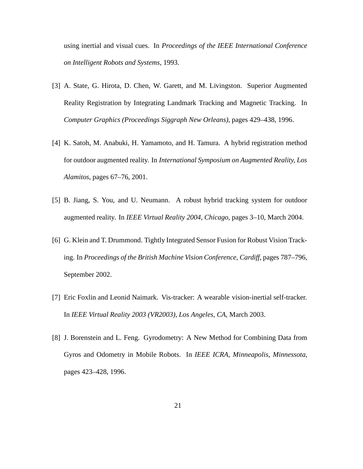using inertial and visual cues. In *Proceedings of the IEEE International Conference on Intelligent Robots and Systems*, 1993.

- [3] A. State, G. Hirota, D. Chen, W. Garett, and M. Livingston. Superior Augmented Reality Registration by Integrating Landmark Tracking and Magnetic Tracking. In *Computer Graphics (Proceedings Siggraph New Orleans)*, pages 429–438, 1996.
- [4] K. Satoh, M. Anabuki, H. Yamamoto, and H. Tamura. A hybrid registration method for outdoor augmented reality. In *International Symposium on Augmented Reality, Los Alamitos*, pages 67–76, 2001.
- [5] B. Jiang, S. You, and U. Neumann. A robust hybrid tracking system for outdoor augmented reality. In *IEEE Virtual Reality 2004, Chicago*, pages 3–10, March 2004.
- [6] G. Klein and T. Drummond. Tightly Integrated Sensor Fusion for Robust Vision Tracking. In *Proceedings of the British Machine Vision Conference, Cardiff*, pages 787–796, September 2002.
- [7] Eric Foxlin and Leonid Naimark. Vis-tracker: A wearable vision-inertial self-tracker. In *IEEE Virtual Reality 2003 (VR2003), Los Angeles, CA*, March 2003.
- [8] J. Borenstein and L. Feng. Gyrodometry: A New Method for Combining Data from Gyros and Odometry in Mobile Robots. In *IEEE ICRA, Minneapolis, Minnessota*, pages 423–428, 1996.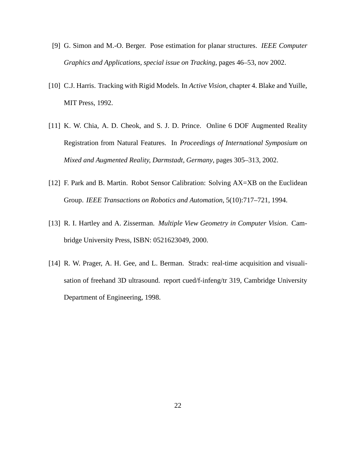- [9] G. Simon and M.-O. Berger. Pose estimation for planar structures. *IEEE Computer Graphics and Applications, special issue on Tracking*, pages 46–53, nov 2002.
- [10] C.J. Harris. Tracking with Rigid Models. In *Active Vision*, chapter 4. Blake and Yuille, MIT Press, 1992.
- [11] K. W. Chia, A. D. Cheok, and S. J. D. Prince. Online 6 DOF Augmented Reality Registration from Natural Features. In *Proceedings of International Symposium on Mixed and Augmented Reality, Darmstadt, Germany*, pages 305–313, 2002.
- [12] F. Park and B. Martin. Robot Sensor Calibration: Solving AX=XB on the Euclidean Group. *IEEE Transactions on Robotics and Automation*, 5(10):717–721, 1994.
- [13] R. I. Hartley and A. Zisserman. *Multiple View Geometry in Computer Vision*. Cambridge University Press, ISBN: 0521623049, 2000.
- [14] R. W. Prager, A. H. Gee, and L. Berman. Stradx: real-time acquisition and visualisation of freehand 3D ultrasound. report cued/f-infeng/tr 319, Cambridge University Department of Engineering, 1998.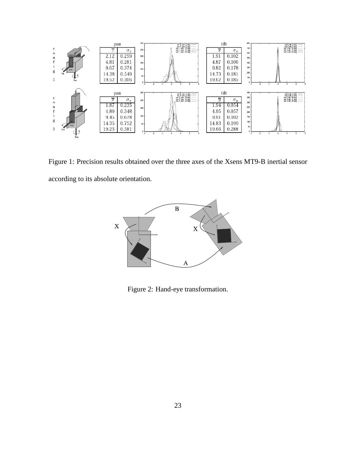

Figure 1: Precision results obtained over the three axes of the Xsens MT9-B inertial sensor according to its absolute orientation.



Figure 2: Hand-eye transformation.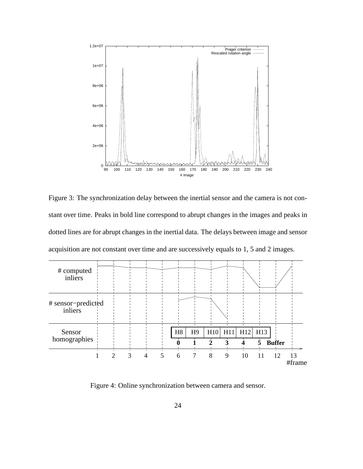

Figure 3: The synchronization delay between the inertial sensor and the camera is not constant over time. Peaks in bold line correspond to abrupt changes in the images and peaks in dotted lines are for abrupt changes in the inertial data. The delays between image and sensor acquisition are not constant over time and are successively equals to 1, 5 and 2 images.



Figure 4: Online synchronization between camera and sensor.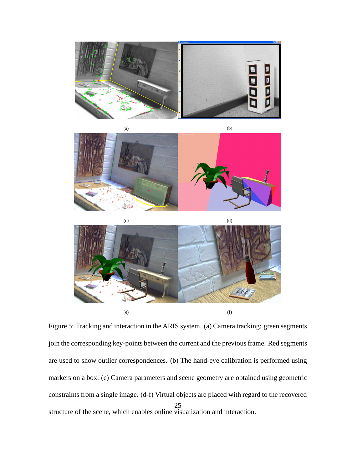





Figure 5: Tracking and interaction in the ARIS system. (a) Camera tracking: green segments join the corresponding key-points between the current and the previous frame. Red segments are used to show outlier correspondences. (b) The hand-eye calibration is performed using markers on a box. (c) Camera parameters and scene geometry are obtained using geometric constraints from a single image. (d-f) Virtual objects are placed with regard to the recovered structure of the scene, which enables online visualization and interaction. 25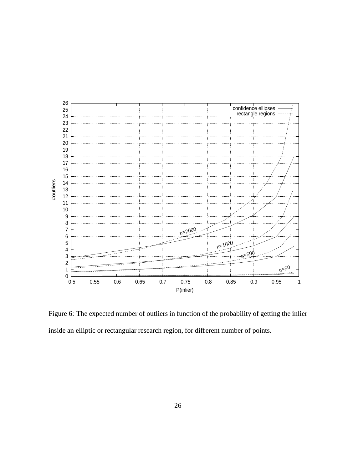

Figure 6: The expected number of outliers in function of the probability of getting the inlier inside an elliptic or rectangular research region, for different number of points.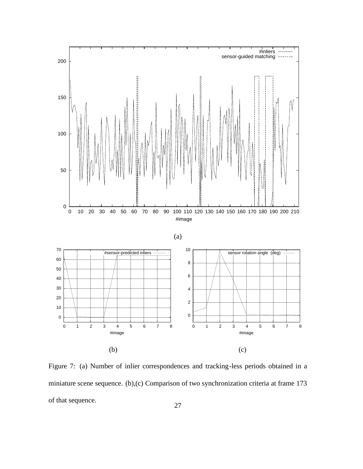

Figure 7: (a) Number of inlier correspondences and tracking-less periods obtained in a miniature scene sequence. (b),(c) Comparison of two synchronization criteria at frame 173 of that sequence.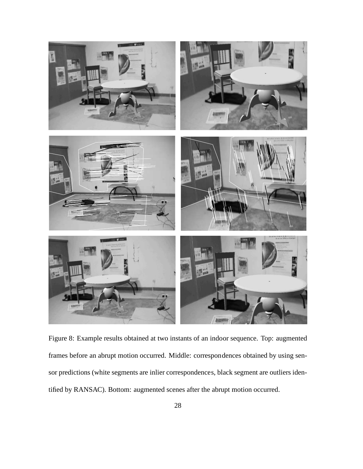

Figure 8: Example results obtained at two instants of an indoor sequence. Top: augmented frames before an abrupt motion occurred. Middle: correspondences obtained by using sensor predictions (white segments are inlier correspondences, black segment are outliers identified by RANSAC). Bottom: augmented scenes after the abrupt motion occurred.